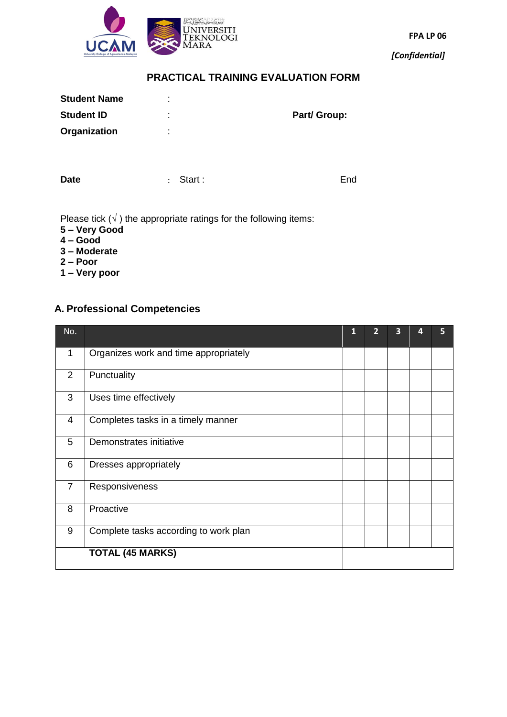

**FPA LP 06**

*[Confidential]*

## **PRACTICAL TRAINING EVALUATION FORM**

| <b>Student Name</b> | ٠.<br>٠             |              |
|---------------------|---------------------|--------------|
| <b>Student ID</b>   | ٠<br>٠              | Part/ Group: |
| Organization        | ٠<br>$\blacksquare$ |              |
|                     |                     |              |
|                     |                     |              |

**Date End** : Start : **End** 

Please tick  $(\sqrt{})$  the appropriate ratings for the following items:

- **5 – Very Good**
- **4 – Good**
- **3 – Moderate**
- **2 – Poor**
- **1 – Very poor**

## **A. Professional Competencies**

| No.            |                                       | 1 | $\overline{2}$ | 3 | 4 | 5 |
|----------------|---------------------------------------|---|----------------|---|---|---|
| 1              | Organizes work and time appropriately |   |                |   |   |   |
| 2              | Punctuality                           |   |                |   |   |   |
| 3              | Uses time effectively                 |   |                |   |   |   |
| 4              | Completes tasks in a timely manner    |   |                |   |   |   |
| 5              | Demonstrates initiative               |   |                |   |   |   |
| 6              | Dresses appropriately                 |   |                |   |   |   |
| $\overline{7}$ | Responsiveness                        |   |                |   |   |   |
| 8              | Proactive                             |   |                |   |   |   |
| 9              | Complete tasks according to work plan |   |                |   |   |   |
|                | <b>TOTAL (45 MARKS)</b>               |   |                |   |   |   |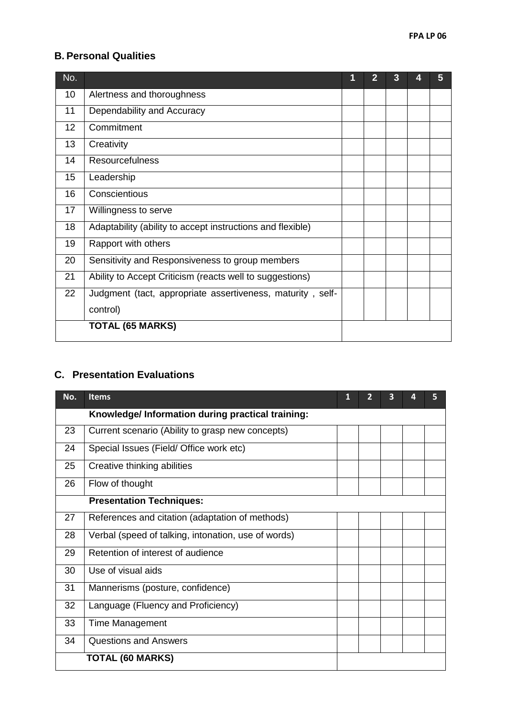## **B. Personal Qualities**

|                                                            | 1 | 2 | 3 | 5 |
|------------------------------------------------------------|---|---|---|---|
| Alertness and thoroughness                                 |   |   |   |   |
| Dependability and Accuracy                                 |   |   |   |   |
| Commitment                                                 |   |   |   |   |
| Creativity                                                 |   |   |   |   |
| <b>Resourcefulness</b>                                     |   |   |   |   |
| Leadership                                                 |   |   |   |   |
| Conscientious                                              |   |   |   |   |
| Willingness to serve                                       |   |   |   |   |
| Adaptability (ability to accept instructions and flexible) |   |   |   |   |
| Rapport with others                                        |   |   |   |   |
| Sensitivity and Responsiveness to group members            |   |   |   |   |
| Ability to Accept Criticism (reacts well to suggestions)   |   |   |   |   |
| Judgment (tact, appropriate assertiveness, maturity, self- |   |   |   |   |
| control)                                                   |   |   |   |   |
| <b>TOTAL (65 MARKS)</b>                                    |   |   |   |   |
|                                                            |   |   |   |   |

# **C. Presentation Evaluations**

| No. | <b>Items</b>                                        | 1 | 2 | 3 | 4 | 5 |
|-----|-----------------------------------------------------|---|---|---|---|---|
|     | Knowledge/Information during practical training:    |   |   |   |   |   |
| 23  | Current scenario (Ability to grasp new concepts)    |   |   |   |   |   |
| 24  | Special Issues (Field/ Office work etc)             |   |   |   |   |   |
| 25  | Creative thinking abilities                         |   |   |   |   |   |
| 26  | Flow of thought                                     |   |   |   |   |   |
|     | <b>Presentation Techniques:</b>                     |   |   |   |   |   |
| 27  | References and citation (adaptation of methods)     |   |   |   |   |   |
| 28  | Verbal (speed of talking, intonation, use of words) |   |   |   |   |   |
| 29  | Retention of interest of audience                   |   |   |   |   |   |
| 30  | Use of visual aids                                  |   |   |   |   |   |
| 31  | Mannerisms (posture, confidence)                    |   |   |   |   |   |
| 32  | Language (Fluency and Proficiency)                  |   |   |   |   |   |
| 33  | <b>Time Management</b>                              |   |   |   |   |   |
| 34  | <b>Questions and Answers</b>                        |   |   |   |   |   |
|     | <b>TOTAL (60 MARKS)</b>                             |   |   |   |   |   |